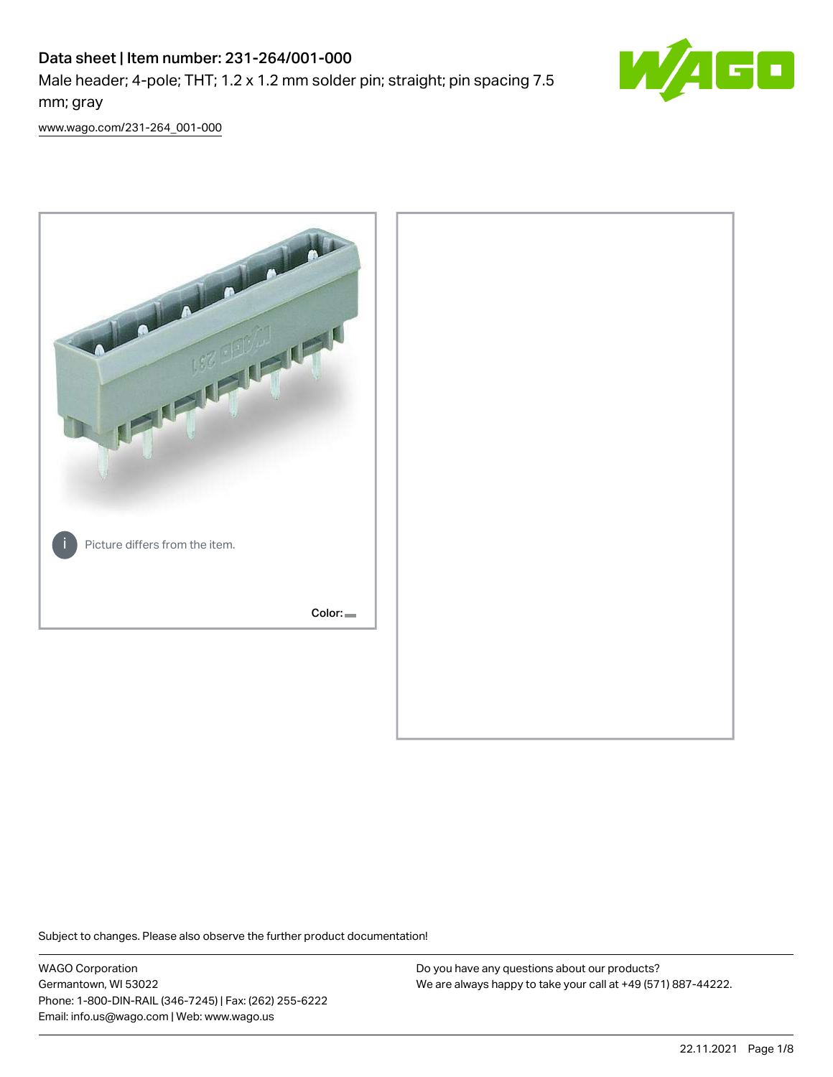# Data sheet | Item number: 231-264/001-000 Male header; 4-pole; THT; 1.2 x 1.2 mm solder pin; straight; pin spacing 7.5 mm; gray



[www.wago.com/231-264\\_001-000](http://www.wago.com/231-264_001-000)



Subject to changes. Please also observe the further product documentation!

WAGO Corporation Germantown, WI 53022 Phone: 1-800-DIN-RAIL (346-7245) | Fax: (262) 255-6222 Email: info.us@wago.com | Web: www.wago.us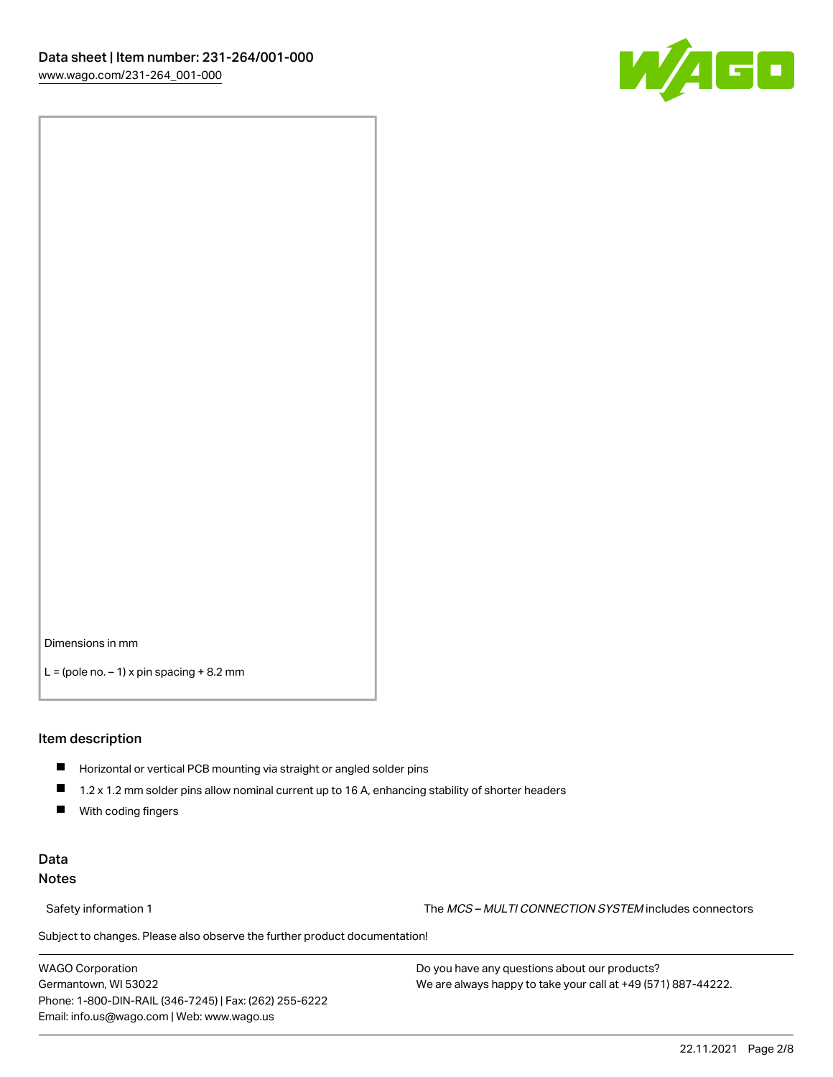

Dimensions in mm

 $L =$  (pole no.  $-1$ ) x pin spacing  $+8.2$  mm

#### Item description

- **Horizontal or vertical PCB mounting via straight or angled solder pins**
- 1.2 x 1.2 mm solder pins allow nominal current up to 16 A, enhancing stability of shorter headers
- $\blacksquare$ With coding fingers

#### Data Notes

Safety information 1 The MCS – MULTI CONNECTION SYSTEM includes connectors

Subject to changes. Please also observe the further product documentation!  $\nu$ 

WAGO Corporation Germantown, WI 53022 Phone: 1-800-DIN-RAIL (346-7245) | Fax: (262) 255-6222 Email: info.us@wago.com | Web: www.wago.us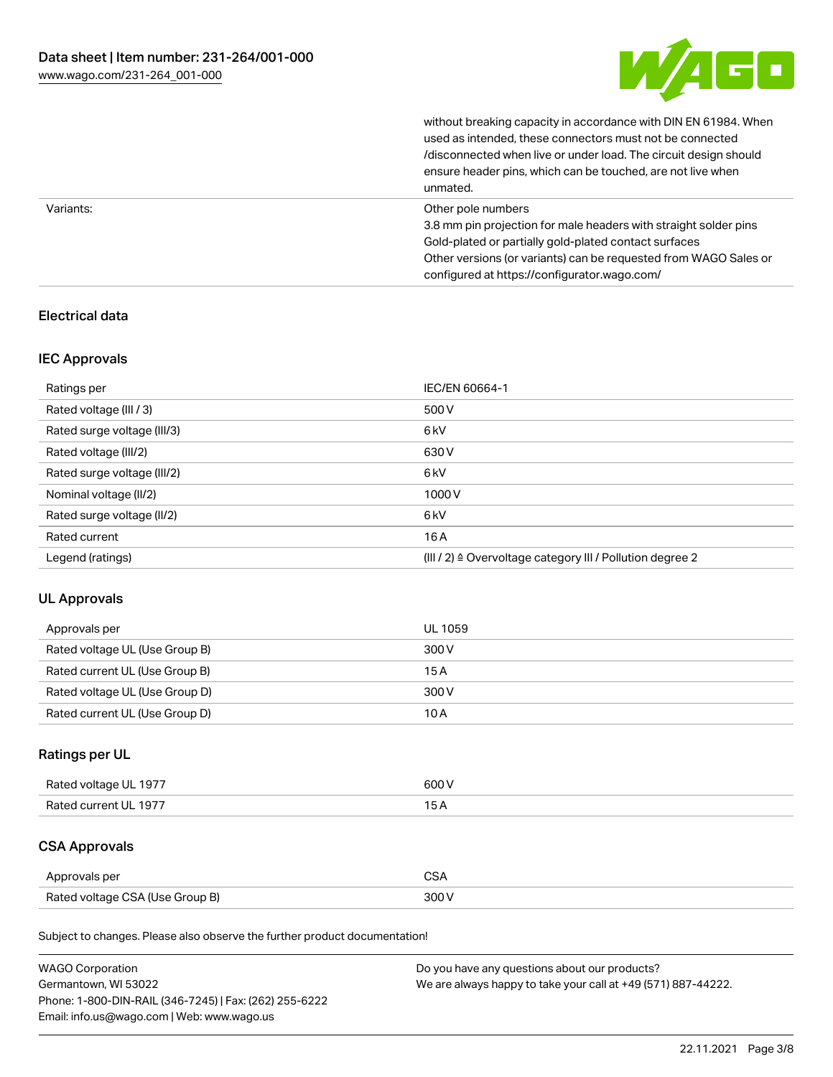

without breaking capacity in accordance with DIN EN 61984. When

|           | used as intended, these connectors must not be connected<br>/disconnected when live or under load. The circuit design should<br>ensure header pins, which can be touched, are not live when<br>unmated.                                                             |
|-----------|---------------------------------------------------------------------------------------------------------------------------------------------------------------------------------------------------------------------------------------------------------------------|
| Variants: | Other pole numbers<br>3.8 mm pin projection for male headers with straight solder pins<br>Gold-plated or partially gold-plated contact surfaces<br>Other versions (or variants) can be requested from WAGO Sales or<br>configured at https://configurator.wago.com/ |

## Electrical data

#### IEC Approvals

| Ratings per                 | IEC/EN 60664-1                                                        |
|-----------------------------|-----------------------------------------------------------------------|
| Rated voltage (III / 3)     | 500 V                                                                 |
| Rated surge voltage (III/3) | 6kV                                                                   |
| Rated voltage (III/2)       | 630 V                                                                 |
| Rated surge voltage (III/2) | 6 <sub>kV</sub>                                                       |
| Nominal voltage (II/2)      | 1000V                                                                 |
| Rated surge voltage (II/2)  | 6 <sub>kV</sub>                                                       |
| Rated current               | 16A                                                                   |
| Legend (ratings)            | $(III / 2)$ $\triangle$ Overvoltage category III / Pollution degree 2 |

#### UL Approvals

| Approvals per                  | UL 1059 |
|--------------------------------|---------|
| Rated voltage UL (Use Group B) | 300 V   |
| Rated current UL (Use Group B) | 15 A    |
| Rated voltage UL (Use Group D) | 300 V   |
| Rated current UL (Use Group D) | 10 A    |

## Ratings per UL

| Rated voltage UL 1977 | 600 V |
|-----------------------|-------|
| Rated current UL 1977 |       |

## CSA Approvals

| Approvals per                   | $\sim$ |
|---------------------------------|--------|
| Rated voltage CSA (Use Group B) | 300 V  |

Subject to changes. Please also observe the further product documentation!

| <b>WAGO Corporation</b>                                | Do you have any questions about our products?                 |
|--------------------------------------------------------|---------------------------------------------------------------|
| Germantown, WI 53022                                   | We are always happy to take your call at +49 (571) 887-44222. |
| Phone: 1-800-DIN-RAIL (346-7245)   Fax: (262) 255-6222 |                                                               |
| Email: info.us@wago.com   Web: www.wago.us             |                                                               |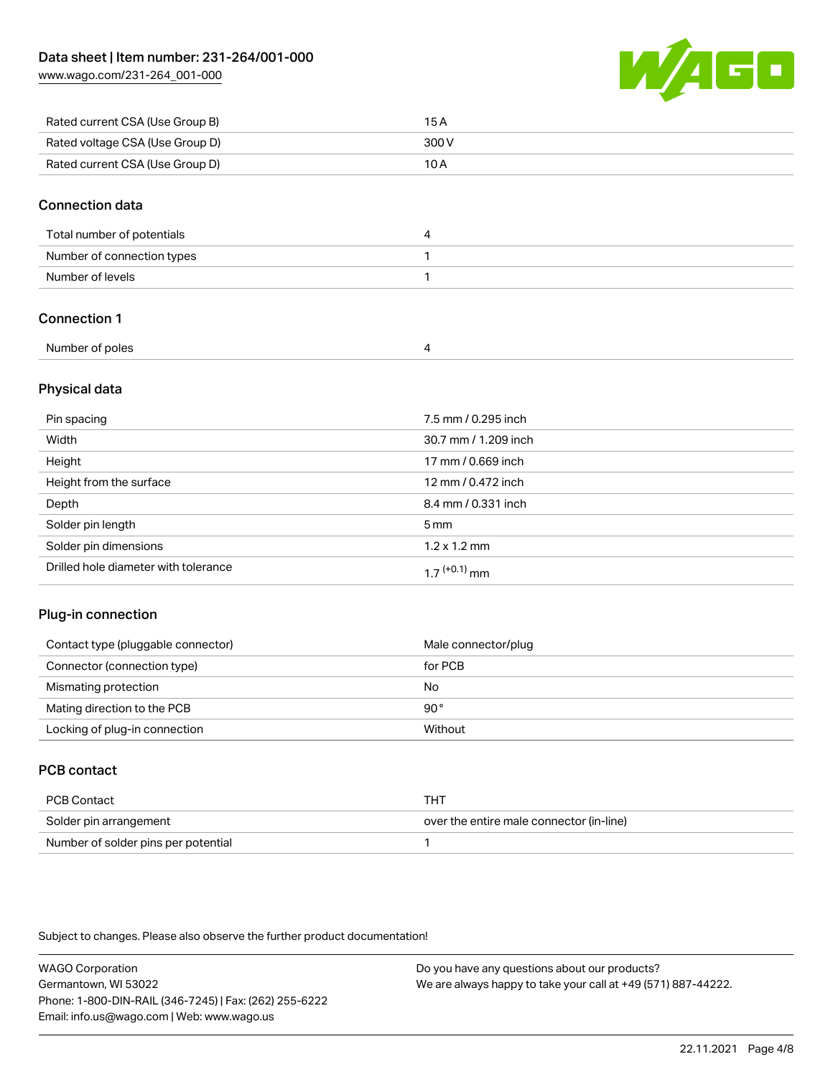[www.wago.com/231-264\\_001-000](http://www.wago.com/231-264_001-000)



| Rated current CSA (Use Group B) | 15 A  |
|---------------------------------|-------|
| Rated voltage CSA (Use Group D) | 300 V |
| Rated current CSA (Use Group D) | 10 A  |

#### Connection data

| Total number of potentials |  |
|----------------------------|--|
| Number of connection types |  |
| Number of levels           |  |

## Connection 1

| Number of poles |  |
|-----------------|--|

#### Physical data

| Pin spacing                          | 7.5 mm / 0.295 inch  |
|--------------------------------------|----------------------|
| Width                                | 30.7 mm / 1.209 inch |
| Height                               | 17 mm / 0.669 inch   |
| Height from the surface              | 12 mm / 0.472 inch   |
| Depth                                | 8.4 mm / 0.331 inch  |
| Solder pin length                    | $5 \,\mathrm{mm}$    |
| Solder pin dimensions                | $1.2 \times 1.2$ mm  |
| Drilled hole diameter with tolerance | $17^{(+0.1)}$ mm     |

#### Plug-in connection

| Contact type (pluggable connector) | Male connector/plug |
|------------------------------------|---------------------|
| Connector (connection type)        | for PCB             |
| Mismating protection               | No                  |
| Mating direction to the PCB        | $90^{\circ}$        |
| Locking of plug-in connection      | Without             |

## PCB contact

| PCB Contact                         | THT                                      |
|-------------------------------------|------------------------------------------|
| Solder pin arrangement              | over the entire male connector (in-line) |
| Number of solder pins per potential |                                          |

Subject to changes. Please also observe the further product documentation!

WAGO Corporation Germantown, WI 53022 Phone: 1-800-DIN-RAIL (346-7245) | Fax: (262) 255-6222 Email: info.us@wago.com | Web: www.wago.us Do you have any questions about our products? We are always happy to take your call at +49 (571) 887-44222.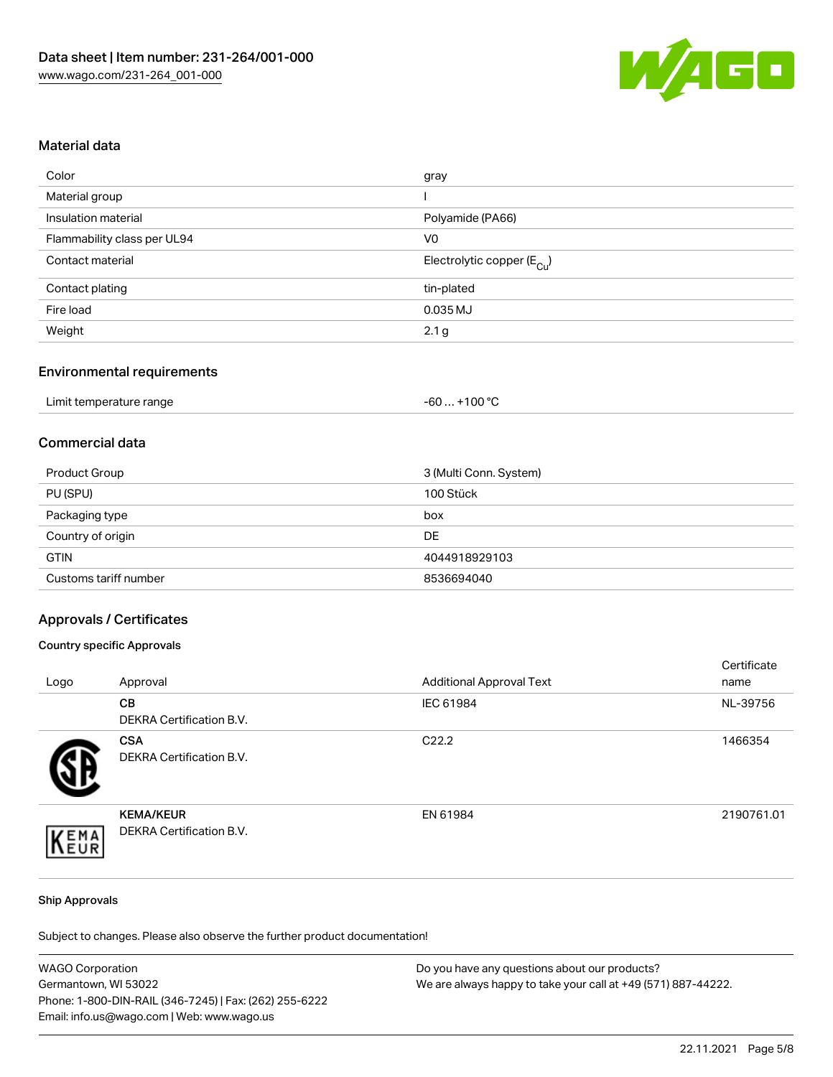

#### Material data

| Color                       | gray                                   |
|-----------------------------|----------------------------------------|
| Material group              |                                        |
| Insulation material         | Polyamide (PA66)                       |
| Flammability class per UL94 | V <sub>0</sub>                         |
| Contact material            | Electrolytic copper (E <sub>Cu</sub> ) |
| Contact plating             | tin-plated                             |
| Fire load                   | 0.035 MJ                               |
| Weight                      | 2.1 <sub>g</sub>                       |

#### Environmental requirements

| Limit temperature range | $+100 °C$<br>-60 |
|-------------------------|------------------|
|-------------------------|------------------|

#### Commercial data

| Product Group         | 3 (Multi Conn. System) |
|-----------------------|------------------------|
| PU (SPU)              | 100 Stück              |
| Packaging type        | box                    |
| Country of origin     | DE                     |
| <b>GTIN</b>           | 4044918929103          |
| Customs tariff number | 8536694040             |

#### Approvals / Certificates

#### Country specific Approvals

| Logo | Approval                                     | <b>Additional Approval Text</b> | Certificate<br>name |
|------|----------------------------------------------|---------------------------------|---------------------|
|      | CВ<br><b>DEKRA Certification B.V.</b>        | IEC 61984                       | NL-39756            |
|      | <b>CSA</b><br>DEKRA Certification B.V.       | C <sub>22.2</sub>               | 1466354             |
| EMA  | <b>KEMA/KEUR</b><br>DEKRA Certification B.V. | EN 61984                        | 2190761.01          |

#### Ship Approvals

Subject to changes. Please also observe the further product documentation!

| <b>WAGO Corporation</b>                                | Do you have any questions about our products?                 |
|--------------------------------------------------------|---------------------------------------------------------------|
| Germantown, WI 53022                                   | We are always happy to take your call at +49 (571) 887-44222. |
| Phone: 1-800-DIN-RAIL (346-7245)   Fax: (262) 255-6222 |                                                               |
| Email: info.us@wago.com   Web: www.wago.us             |                                                               |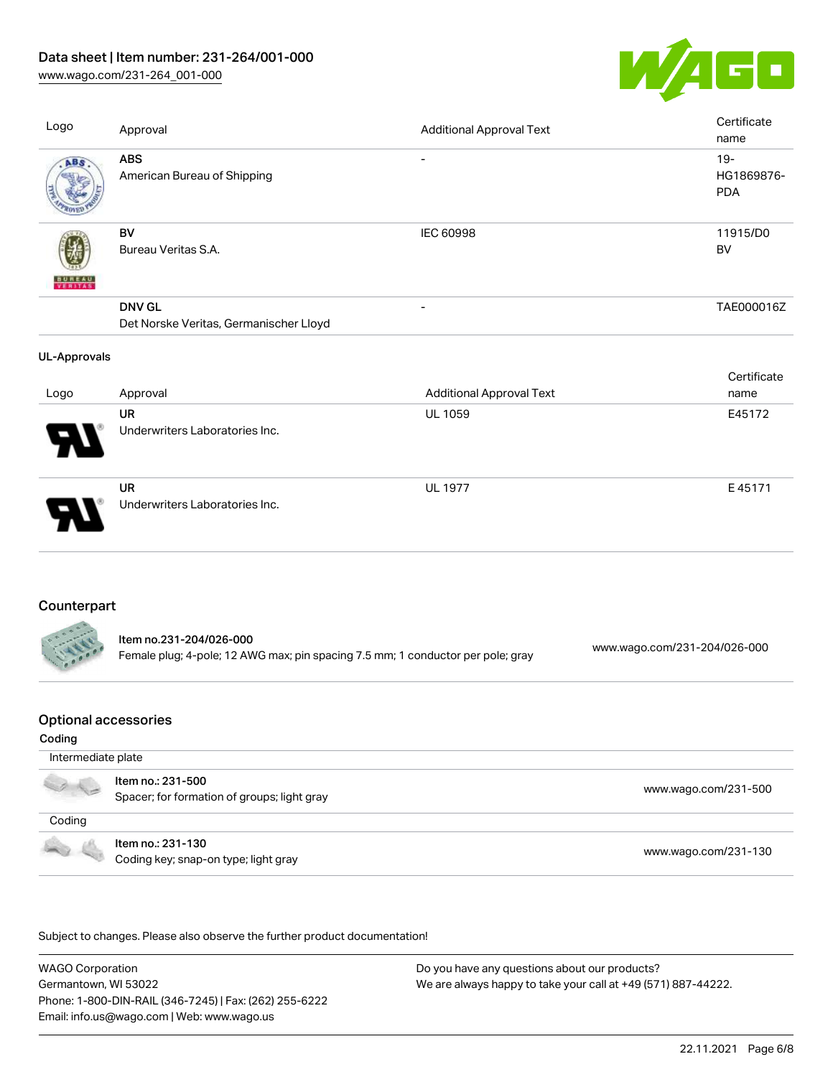## Data sheet | Item number: 231-264/001-000

[www.wago.com/231-264\\_001-000](http://www.wago.com/231-264_001-000)



| Logo                | Approval                                                                                                   | <b>Additional Approval Text</b> |                              | Certificate<br>name                |
|---------------------|------------------------------------------------------------------------------------------------------------|---------------------------------|------------------------------|------------------------------------|
| ABS                 | <b>ABS</b><br>American Bureau of Shipping                                                                  | -                               |                              | $19 -$<br>HG1869876-<br><b>PDA</b> |
| VERITAS             | BV<br>Bureau Veritas S.A.                                                                                  | <b>IEC 60998</b>                |                              | 11915/D0<br>BV                     |
|                     | <b>DNV GL</b><br>Det Norske Veritas, Germanischer Lloyd                                                    | $\overline{\phantom{0}}$        |                              | TAE000016Z                         |
| <b>UL-Approvals</b> |                                                                                                            |                                 |                              |                                    |
| Logo                | Approval                                                                                                   | <b>Additional Approval Text</b> |                              | Certificate<br>name                |
|                     | UR<br>Underwriters Laboratories Inc.                                                                       | <b>UL 1059</b>                  |                              | E45172                             |
|                     | <b>UR</b><br>Underwriters Laboratories Inc.                                                                | <b>UL 1977</b>                  |                              | E45171                             |
| Counterpart         |                                                                                                            |                                 |                              |                                    |
|                     | Item no.231-204/026-000<br>Female plug; 4-pole; 12 AWG max; pin spacing 7.5 mm; 1 conductor per pole; gray |                                 | www.wago.com/231-204/026-000 |                                    |

## Optional accessories

#### Coding

| Intermediate plate |                                                                  |                      |
|--------------------|------------------------------------------------------------------|----------------------|
|                    | Item no.: 231-500<br>Spacer; for formation of groups; light gray | www.wago.com/231-500 |
| Coding             |                                                                  |                      |
|                    | Item no.: 231-130<br>Coding key; snap-on type; light gray        | www.wago.com/231-130 |

.<br>Subject to changes. Please also observe the further product documentation!

WAGO Corporation Germantown, WI 53022 Phone: 1-800-DIN-RAIL (346-7245) | Fax: (262) 255-6222 Email: info.us@wago.com | Web: www.wago.us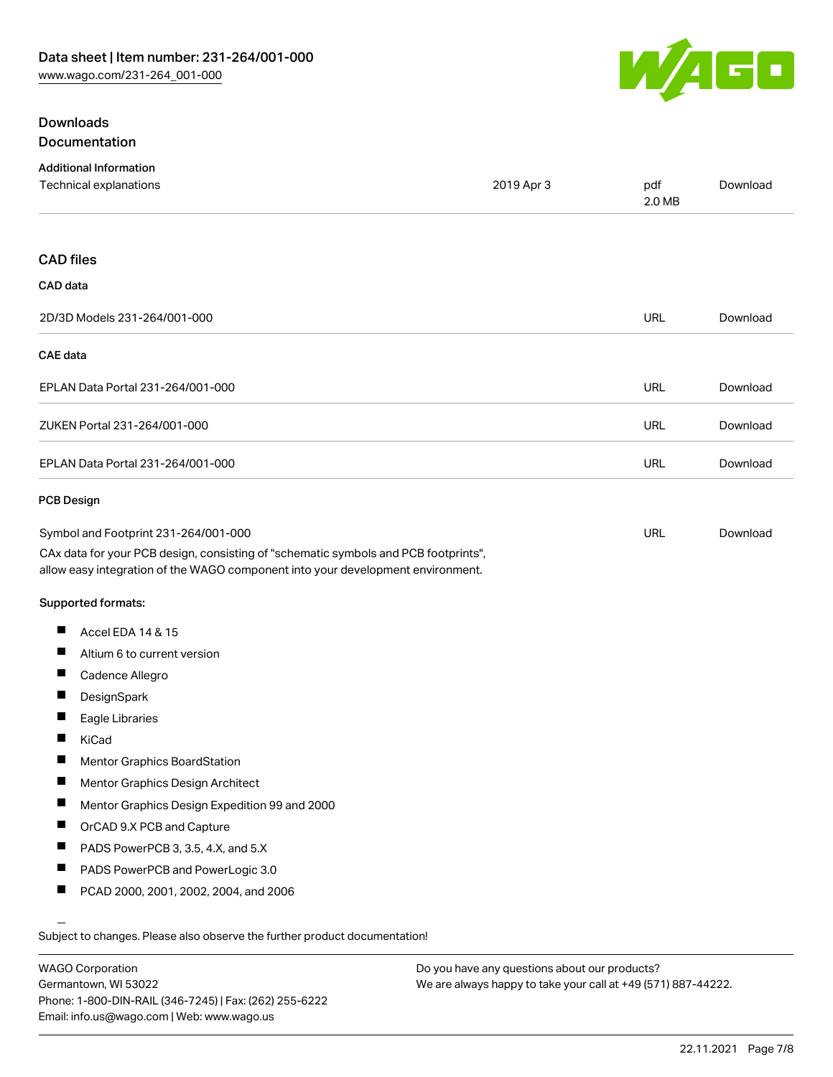

## **Downloads** Documentation

| <b>Additional Information</b>                                                                                                                                          |            |               |          |
|------------------------------------------------------------------------------------------------------------------------------------------------------------------------|------------|---------------|----------|
| <b>Technical explanations</b>                                                                                                                                          | 2019 Apr 3 | pdf<br>2.0 MB | Download |
| <b>CAD files</b>                                                                                                                                                       |            |               |          |
| CAD data                                                                                                                                                               |            |               |          |
| 2D/3D Models 231-264/001-000                                                                                                                                           |            | <b>URL</b>    | Download |
| <b>CAE</b> data                                                                                                                                                        |            |               |          |
| EPLAN Data Portal 231-264/001-000                                                                                                                                      |            | URL           | Download |
| ZUKEN Portal 231-264/001-000                                                                                                                                           |            | URL           | Download |
| EPLAN Data Portal 231-264/001-000                                                                                                                                      |            | <b>URL</b>    | Download |
| <b>PCB Design</b>                                                                                                                                                      |            |               |          |
| Symbol and Footprint 231-264/001-000                                                                                                                                   |            | URL           | Download |
| CAx data for your PCB design, consisting of "schematic symbols and PCB footprints",<br>allow easy integration of the WAGO component into your development environment. |            |               |          |
| <b>Supported formats:</b>                                                                                                                                              |            |               |          |
| Accel EDA 14 & 15<br>Ш                                                                                                                                                 |            |               |          |
| Ш<br>Altium 6 to current version                                                                                                                                       |            |               |          |
| ш<br>Cadence Allegro                                                                                                                                                   |            |               |          |
| DesignSpark                                                                                                                                                            |            |               |          |
| Ш<br>Eagle Libraries                                                                                                                                                   |            |               |          |
| Ш<br>KiCad                                                                                                                                                             |            |               |          |
| Mentor Graphics BoardStation                                                                                                                                           |            |               |          |
| Ц<br>Mentor Graphics Design Architect                                                                                                                                  |            |               |          |
| H.<br>Mentor Graphics Design Expedition 99 and 2000                                                                                                                    |            |               |          |
| п<br>OrCAD 9.X PCB and Capture                                                                                                                                         |            |               |          |
| Ш<br>PADS PowerPCB 3, 3.5, 4.X, and 5.X                                                                                                                                |            |               |          |
| Ш<br>PADS PowerPCB and PowerLogic 3.0                                                                                                                                  |            |               |          |
| ш<br>PCAD 2000, 2001, 2002, 2004, and 2006                                                                                                                             |            |               |          |
| Subject to changes. Please also observe the further product documentation!                                                                                             |            |               |          |
|                                                                                                                                                                        |            |               |          |

WAGO Corporation Germantown, WI 53022 Phone: 1-800-DIN-RAIL (346-7245) | Fax: (262) 255-6222 Email: info.us@wago.com | Web: www.wago.us